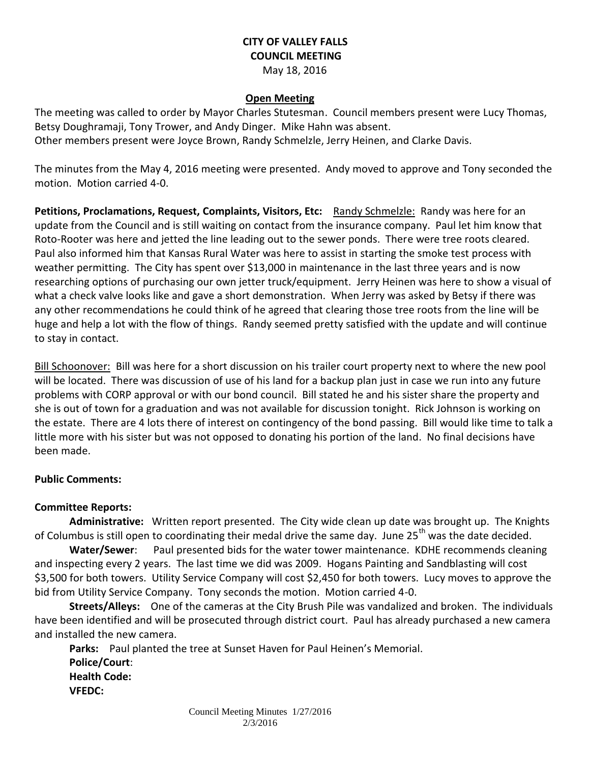## **CITY OF VALLEY FALLS COUNCIL MEETING** May 18, 2016

#### **Open Meeting**

The meeting was called to order by Mayor Charles Stutesman. Council members present were Lucy Thomas, Betsy Doughramaji, Tony Trower, and Andy Dinger. Mike Hahn was absent. Other members present were Joyce Brown, Randy Schmelzle, Jerry Heinen, and Clarke Davis.

The minutes from the May 4, 2016 meeting were presented. Andy moved to approve and Tony seconded the motion. Motion carried 4-0.

**Petitions, Proclamations, Request, Complaints, Visitors, Etc:** Randy Schmelzle: Randy was here for an update from the Council and is still waiting on contact from the insurance company. Paul let him know that Roto-Rooter was here and jetted the line leading out to the sewer ponds. There were tree roots cleared. Paul also informed him that Kansas Rural Water was here to assist in starting the smoke test process with weather permitting. The City has spent over \$13,000 in maintenance in the last three years and is now researching options of purchasing our own jetter truck/equipment. Jerry Heinen was here to show a visual of what a check valve looks like and gave a short demonstration. When Jerry was asked by Betsy if there was any other recommendations he could think of he agreed that clearing those tree roots from the line will be huge and help a lot with the flow of things. Randy seemed pretty satisfied with the update and will continue to stay in contact.

Bill Schoonover: Bill was here for a short discussion on his trailer court property next to where the new pool will be located. There was discussion of use of his land for a backup plan just in case we run into any future problems with CORP approval or with our bond council. Bill stated he and his sister share the property and she is out of town for a graduation and was not available for discussion tonight. Rick Johnson is working on the estate. There are 4 lots there of interest on contingency of the bond passing. Bill would like time to talk a little more with his sister but was not opposed to donating his portion of the land. No final decisions have been made.

### **Public Comments:**

### **Committee Reports:**

**Administrative:** Written report presented. The City wide clean up date was brought up. The Knights of Columbus is still open to coordinating their medal drive the same day. June 25<sup>th</sup> was the date decided.

**Water/Sewer**: Paul presented bids for the water tower maintenance. KDHE recommends cleaning and inspecting every 2 years. The last time we did was 2009. Hogans Painting and Sandblasting will cost \$3,500 for both towers. Utility Service Company will cost \$2,450 for both towers. Lucy moves to approve the bid from Utility Service Company. Tony seconds the motion. Motion carried 4-0.

**Streets/Alleys:** One of the cameras at the City Brush Pile was vandalized and broken. The individuals have been identified and will be prosecuted through district court. Paul has already purchased a new camera and installed the new camera.

**Parks:** Paul planted the tree at Sunset Haven for Paul Heinen's Memorial. **Police/Court**: **Health Code: VFEDC:**